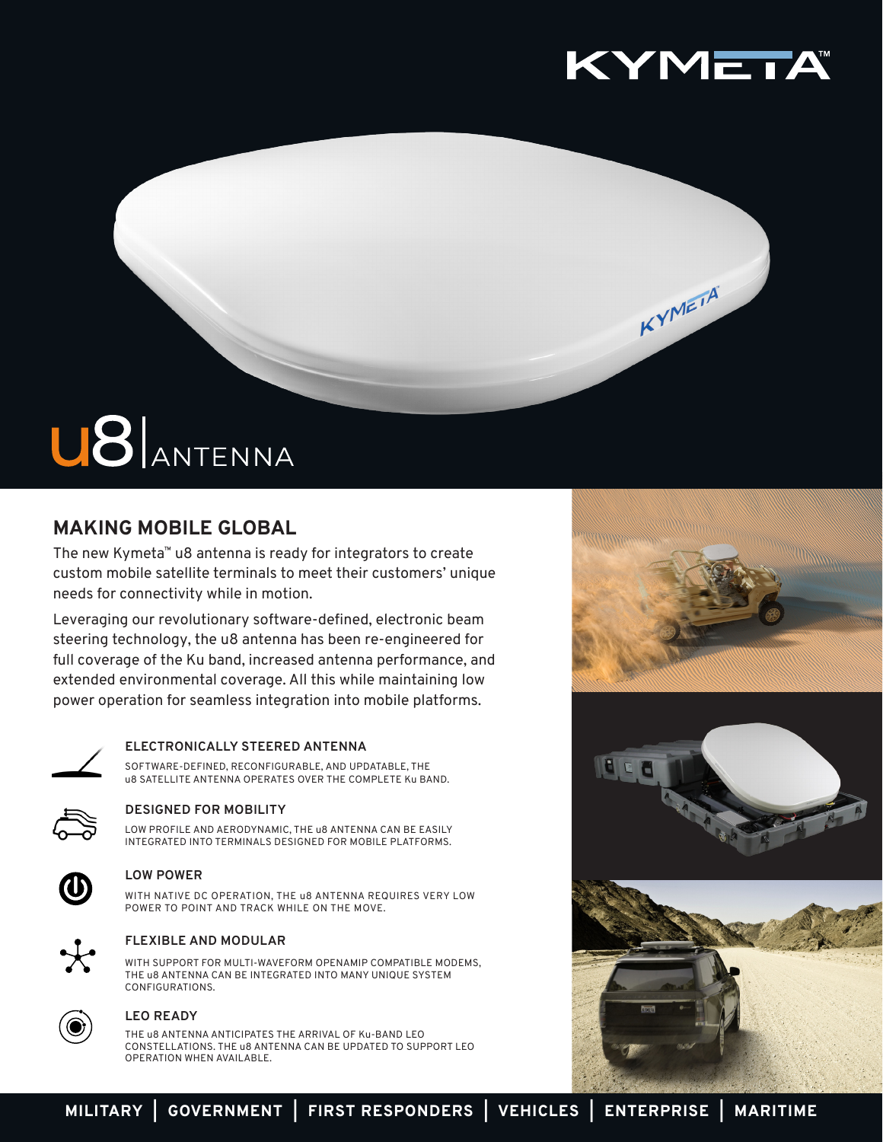

KYMEIA

# U8 ANTENNA

# **MAKING MOBILE GLOBAL**

The new Kymeta™ u8 antenna is ready for integrators to create custom mobile satellite terminals to meet their customers' unique needs for connectivity while in motion.

Leveraging our revolutionary software-defined, electronic beam steering technology, the u8 antenna has been re-engineered for full coverage of the Ku band, increased antenna performance, and extended environmental coverage. All this while maintaining low power operation for seamless integration into mobile platforms.



## **ELECTRONICALLY STEERED ANTENNA**

SOFTWARE-DEFINED, RECONFIGURABLE, AND UPDATABLE, THE u8 SATELLITE ANTENNA OPERATES OVER THE COMPLETE Ku BAND.



## **DESIGNED FOR MOBILITY**

LOW PROFILE AND AERODYNAMIC, THE u8 ANTENNA CAN BE EASILY INTEGRATED INTO TERMINALS DESIGNED FOR MOBILE PLATFORMS.



#### **LOW POWER**

WITH NATIVE DC OPERATION, THE u8 ANTENNA REQUIRES VERY LOW POWER TO POINT AND TRACK WHILE ON THE MOVE.



## **FLEXIBLE AND MODULAR**

WITH SUPPORT FOR MULTI-WAVEFORM OPENAMIP COMPATIBLE MODEMS, THE u8 ANTENNA CAN BE INTEGRATED INTO MANY UNIQUE SYSTEM CONFIGURATIONS.



## **LEO READY**

THE u8 ANTENNA ANTICIPATES THE ARRIVAL OF Ku-BAND LEO CONSTELLATIONS. THE u8 ANTENNA CAN BE UPDATED TO SUPPORT LEO OPERATION WHEN AVAILABLE.